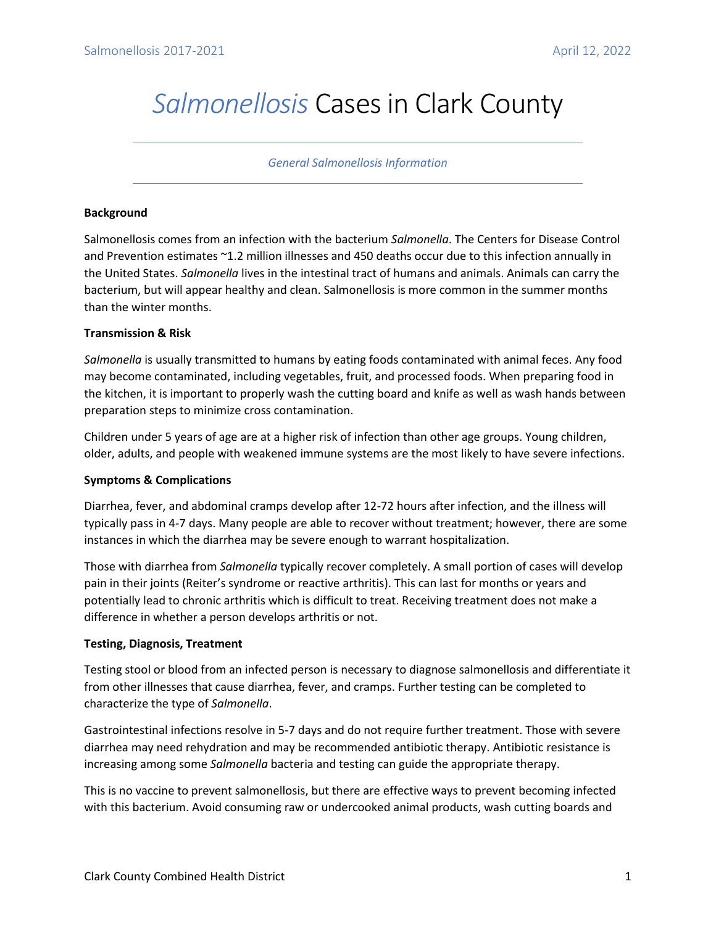# *Salmonellosis* Cases in Clark County

#### *General Salmonellosis Information*

## **Background**

Salmonellosis comes from an infection with the bacterium *Salmonella*. The Centers for Disease Control and Prevention estimates ~1.2 million illnesses and 450 deaths occur due to this infection annually in the United States. *Salmonella* lives in the intestinal tract of humans and animals. Animals can carry the bacterium, but will appear healthy and clean. Salmonellosis is more common in the summer months than the winter months.

### **Transmission & Risk**

*Salmonella* is usually transmitted to humans by eating foods contaminated with animal feces. Any food may become contaminated, including vegetables, fruit, and processed foods. When preparing food in the kitchen, it is important to properly wash the cutting board and knife as well as wash hands between preparation steps to minimize cross contamination.

Children under 5 years of age are at a higher risk of infection than other age groups. Young children, older, adults, and people with weakened immune systems are the most likely to have severe infections.

# **Symptoms & Complications**

Diarrhea, fever, and abdominal cramps develop after 12-72 hours after infection, and the illness will typically pass in 4-7 days. Many people are able to recover without treatment; however, there are some instances in which the diarrhea may be severe enough to warrant hospitalization.

Those with diarrhea from *Salmonella* typically recover completely. A small portion of cases will develop pain in their joints (Reiter's syndrome or reactive arthritis). This can last for months or years and potentially lead to chronic arthritis which is difficult to treat. Receiving treatment does not make a difference in whether a person develops arthritis or not.

# **Testing, Diagnosis, Treatment**

Testing stool or blood from an infected person is necessary to diagnose salmonellosis and differentiate it from other illnesses that cause diarrhea, fever, and cramps. Further testing can be completed to characterize the type of *Salmonella*.

Gastrointestinal infections resolve in 5-7 days and do not require further treatment. Those with severe diarrhea may need rehydration and may be recommended antibiotic therapy. Antibiotic resistance is increasing among some *Salmonella* bacteria and testing can guide the appropriate therapy.

This is no vaccine to prevent salmonellosis, but there are effective ways to prevent becoming infected with this bacterium. Avoid consuming raw or undercooked animal products, wash cutting boards and